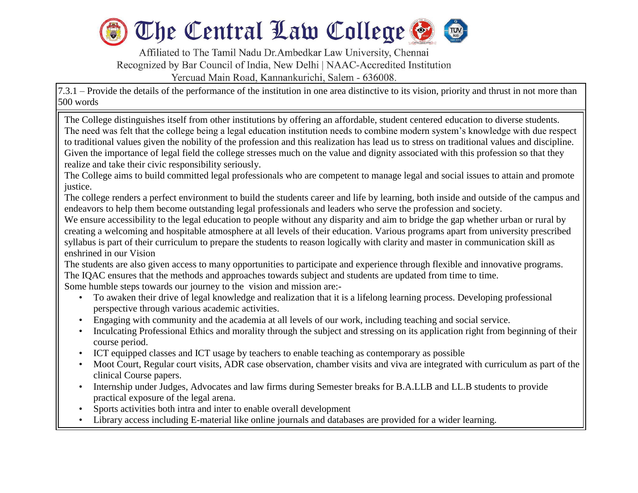

Affiliated to The Tamil Nadu Dr.Ambedkar Law University, Chennai Recognized by Bar Council of India, New Delhi | NAAC-Accredited Institution Yercuad Main Road, Kannankurichi, Salem - 636008.

7.3.1 – Provide the details of the performance of the institution in one area distinctive to its vision, priority and thrust in not more than 500 words

The College distinguishes itself from other institutions by offering an affordable, student centered education to diverse students. The need was felt that the college being a legal education institution needs to combine modern system's knowledge with due respect to traditional values given the nobility of the profession and this realization has lead us to stress on traditional values and discipline. Given the importance of legal field the college stresses much on the value and dignity associated with this profession so that they realize and take their civic responsibility seriously.

The College aims to build committed legal professionals who are competent to manage legal and social issues to attain and promote justice.

The college renders a perfect environment to build the students career and life by learning, both inside and outside of the campus and endeavors to help them become outstanding legal professionals and leaders who serve the profession and society.

We ensure accessibility to the legal education to people without any disparity and aim to bridge the gap whether urban or rural by creating a welcoming and hospitable atmosphere at all levels of their education. Various programs apart from university prescribed syllabus is part of their curriculum to prepare the students to reason logically with clarity and master in communication skill as enshrined in our Vision

The students are also given access to many opportunities to participate and experience through flexible and innovative programs. The IQAC ensures that the methods and approaches towards subject and students are updated from time to time.

Some humble steps towards our journey to the vision and mission are:-

l

- To awaken their drive of legal knowledge and realization that it is a lifelong learning process. Developing professional perspective through various academic activities.
- Engaging with community and the academia at all levels of our work, including teaching and social service.
- Inculcating Professional Ethics and morality through the subject and stressing on its application right from beginning of their course period.
- ICT equipped classes and ICT usage by teachers to enable teaching as contemporary as possible
- Moot Court, Regular court visits, ADR case observation, chamber visits and viva are integrated with curriculum as part of the clinical Course papers.
- Internship under Judges, Advocates and law firms during Semester breaks for B.A.LLB and LL.B students to provide practical exposure of the legal arena.
- Sports activities both intra and inter to enable overall development
- Library access including E-material like online journals and databases are provided for a wider learning.